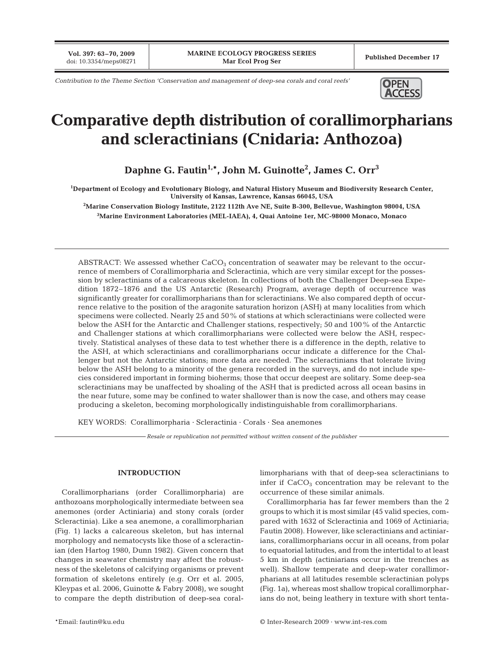**Vol. 397: 63–70, 2009**

*Contribution to the Theme Section 'Conservation and management of deep-sea corals and coral reefs'*



# **Comparative depth distribution of corallimorpharians and scleractinians (Cnidaria: Anthozoa)**

**Daphne G. Fautin1,\*, John M. Guinotte2 , James C. Orr3**

**1 Department of Ecology and Evolutionary Biology, and Natural History Museum and Biodiversity Research Center, University of Kansas, Lawrence, Kansas 66045, USA**

**2 Marine Conservation Biology Institute, 2122 112th Ave NE, Suite B-300, Bellevue, Washington 98004, USA 3 Marine Environment Laboratories (MEL-IAEA), 4, Quai Antoine 1er, MC-98000 Monaco, Monaco**

ABSTRACT: We assessed whether  $CaCO<sub>3</sub>$  concentration of seawater may be relevant to the occurrence of members of Corallimorpharia and Scleractinia, which are very similar except for the possession by scleractinians of a calcareous skeleton. In collections of both the Challenger Deep-sea Expedition 1872–1876 and the US Antarctic (Research) Program, average depth of occurrence was significantly greater for corallimorpharians than for scleractinians. We also compared depth of occurrence relative to the position of the aragonite saturation horizon (ASH) at many localities from which specimens were collected. Nearly 25 and 50% of stations at which scleractinians were collected were below the ASH for the Antarctic and Challenger stations, respectively; 50 and 100% of the Antarctic and Challenger stations at which corallimorpharians were collected were below the ASH, respectively. Statistical analyses of these data to test whether there is a difference in the depth, relative to the ASH, at which scleractinians and corallimorpharians occur indicate a difference for the Challenger but not the Antarctic stations; more data are needed. The scleractinians that tolerate living below the ASH belong to a minority of the genera recorded in the surveys, and do not include species considered important in forming bioherms; those that occur deepest are solitary. Some deep-sea scleractinians may be unaffected by shoaling of the ASH that is predicted across all ocean basins in the near future, some may be confined to water shallower than is now the case, and others may cease producing a skeleton, becoming morphologically indistinguishable from corallimorpharians.

KEY WORDS: Corallimorpharia · Scleractinia · Corals · Sea anemones

*Resale or republication not permitted without written consent of the publisher*

## **INTRODUCTION**

Corallimorpharians (order Corallimorpharia) are anthozoans morphologically intermediate between sea anemones (order Actiniaria) and stony corals (order Scleractinia). Like a sea anemone, a corallimorpharian (Fig. 1) lacks a calcareous skeleton, but has internal morphology and nematocysts like those of a scleractinian (den Hartog 1980, Dunn 1982). Given concern that changes in seawater chemistry may affect the robustness of the skeletons of calcifying organisms or prevent formation of skeletons entirely (e.g. Orr et al. 2005, Kleypas et al. 2006, Guinotte & Fabry 2008), we sought to compare the depth distribution of deep-sea corallimorpharians with that of deep-sea scleractinians to infer if  $CaCO<sub>3</sub>$  concentration may be relevant to the occurrence of these similar animals.

Corallimorpharia has far fewer members than the 2 groups to which it is most similar (45 valid species, compared with 1632 of Scleractinia and 1069 of Actiniaria; Fautin 2008). However, like scleractinians and actiniarians, corallimorpharians occur in all oceans, from polar to equatorial latitudes, and from the intertidal to at least 5 km in depth (actiniarians occur in the trenches as well). Shallow temperate and deep-water corallimorpharians at all latitudes resemble scleractinian polyps (Fig. 1a), whereas most shallow tropical corallimorpharians do not, being leathery in texture with short tenta-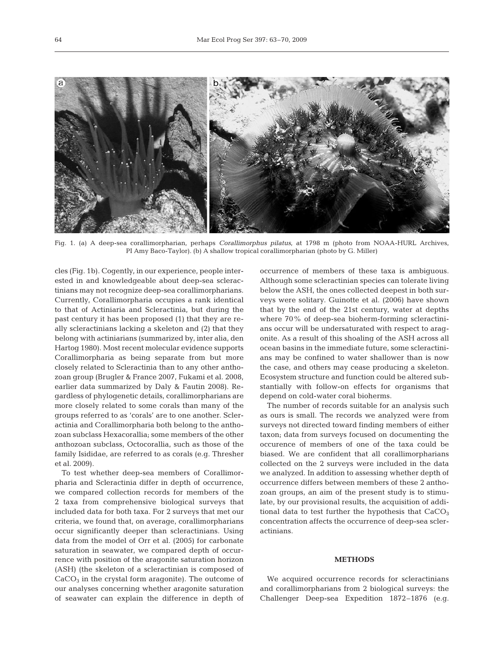

Fig. 1. (a) A deep-sea corallimorpharian, perhaps *Corallimorphus pilatus*, at 1798 m (photo from NOAA-HURL Archives, PI Amy Baco-Taylor). (b) A shallow tropical corallimorpharian (photo by G. Miller)

cles (Fig. 1b). Cogently, in our experience, people interested in and knowledgeable about deep-sea scleractinians may not recognize deep-sea corallimorpharians. Currently, Corallimorpharia occupies a rank identical to that of Actiniaria and Scleractinia, but during the past century it has been proposed (1) that they are really scleractinians lacking a skeleton and (2) that they belong with actiniarians (summarized by, inter alia, den Hartog 1980). Most recent molecular evidence supports Corallimorpharia as being separate from but more closely related to Scleractinia than to any other anthozoan group (Brugler & France 2007, Fukami et al. 2008, earlier data summarized by Daly & Fautin 2008). Regardless of phylogenetic details, corallimorpharians are more closely related to some corals than many of the groups referred to as 'corals' are to one another. Scleractinia and Corallimorpharia both belong to the anthozoan subclass Hexacorallia; some members of the other anthozoan subclass, Octocorallia, such as those of the family Isididae, are referred to as corals (e.g. Thresher et al. 2009).

To test whether deep-sea members of Corallimorpharia and Scleractinia differ in depth of occurrence, we compared collection records for members of the 2 taxa from comprehensive biological surveys that included data for both taxa. For 2 surveys that met our criteria, we found that, on average, corallimorpharians occur significantly deeper than scleractinians. Using data from the model of Orr et al. (2005) for carbonate saturation in seawater, we compared depth of occurrence with position of the aragonite saturation horizon (ASH) (the skeleton of a scleractinian is composed of  $CaCO<sub>3</sub>$  in the crystal form aragonite). The outcome of our analyses concerning whether aragonite saturation of seawater can explain the difference in depth of occurrence of members of these taxa is ambiguous. Although some scleractinian species can tolerate living below the ASH, the ones collected deepest in both surveys were solitary. Guinotte et al. (2006) have shown that by the end of the 21st century, water at depths where 70% of deep-sea bioherm-forming scleractinians occur will be undersaturated with respect to aragonite. As a result of this shoaling of the ASH across all ocean basins in the immediate future, some scleractinians may be confined to water shallower than is now the case, and others may cease producing a skeleton. Ecosystem structure and function could be altered substantially with follow-on effects for organisms that depend on cold-water coral bioherms.

The number of records suitable for an analysis such as ours is small. The records we analyzed were from surveys not directed toward finding members of either taxon; data from surveys focused on documenting the occurence of members of one of the taxa could be biased. We are confident that all corallimorpharians collected on the 2 surveys were included in the data we analyzed. In addition to assessing whether depth of occurrence differs between members of these 2 anthozoan groups, an aim of the present study is to stimulate, by our provisional results, the acquisition of additional data to test further the hypothesis that  $CaCO<sub>3</sub>$ concentration affects the occurrence of deep-sea scleractinians.

### **METHODS**

We acquired occurrence records for scleractinians and corallimorpharians from 2 biological surveys: the Challenger Deep-sea Expedition 1872–1876 (e.g.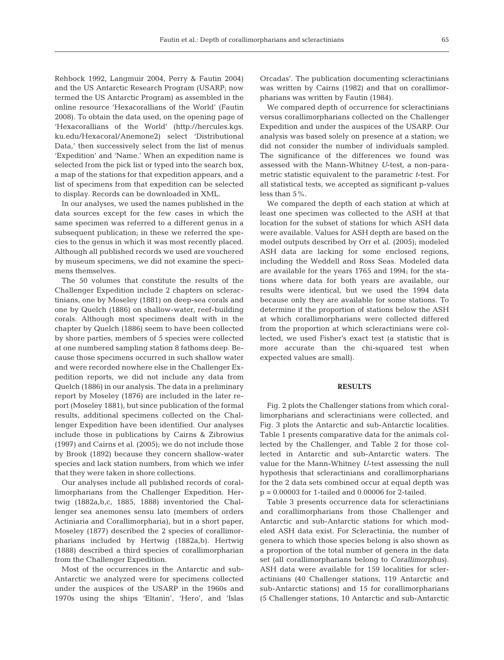Rehbock 1992, Langmuir 2004, Perry & Fautin 2004) and the US Antarctic Research Program (USARP; now termed the US Antarctic Program) as assembled in the online resource 'Hexacorallians of the World' (Fautin 2008). To obtain the data used, on the opening page of 'Hexacorallians of the World' (http://hercules.kgs. ku.edu/Hexacoral/Anemone2) select 'Distributional Data,' then successively select from the list of menus 'Expedition' and 'Name.' When an expedition name is selected from the pick list or typed into the search box, a map of the stations for that expedition appears, and a list of specimens from that expedition can be selected to display. Records can be downloaded in XML.

In our analyses, we used the names published in the data sources except for the few cases in which the same specimen was referred to a different genus in a subsequent publication; in these we referred the species to the genus in which it was most recently placed. Although all published records we used are vouchered by museum specimens, we did not examine the specimens themselves.

The 50 volumes that constitute the results of the Challenger Expedition include 2 chapters on scleractinians, one by Moseley (1881) on deep-sea corals and one by Quelch (1886) on shallow-water, reef-building corals. Although most specimens dealt with in the chapter by Quelch (1886) seem to have been collected by shore parties, members of 5 species were collected at one numbered sampling station 8 fathoms deep. Because those specimens occurred in such shallow water and were recorded nowhere else in the Challenger Expedition reports, we did not include any data from Quelch (1886) in our analysis. The data in a preliminary report by Moseley (1876) are included in the later report (Moseley 1881), but since publication of the formal results, additional specimens collected on the Challenger Expedition have been identified. Our analyses include those in publications by Cairns & Zibrowius (1997) and Cairns et al. (2005); we do not include those by Brook (1892) because they concern shallow-water species and lack station numbers, from which we infer that they were taken in shore collections.

Our analyses include all published records of corallimorpharians from the Challenger Expedition. Hertwig (1882a,b,c, 1885, 1888) inventoried the Challenger sea anemones sensu lato (members of orders Actiniaria and Corallimorpharia), but in a short paper, Moseley (1877) described the 2 species of corallimorpharians included by Hertwig (1882a,b). Hertwig (1888) described a third species of corallimorpharian from the Challenger Expedition.

Most of the occurrences in the Antarctic and sub-Antarctic we analyzed were for specimens collected under the auspices of the USARP in the 1960s and 1970s using the ships 'Eltanin', 'Hero', and 'Islas Orcadas'. The publication documenting scleractinians was written by Cairns (1982) and that on corallimorpharians was written by Fautin (1984).

We compared depth of occurrence for scleractinians versus corallimorpharians collected on the Challenger Expedition and under the auspices of the USARP. Our analysis was based solely on presence at a station; we did not consider the number of individuals sampled. The significance of the differences we found was assessed with the Mann-Whitney *U*-test, a non-parametric statistic equivalent to the parametric *t*-test. For all statistical tests, we accepted as significant p-values less than 5%.

We compared the depth of each station at which at least one specimen was collected to the ASH at that location for the subset of stations for which ASH data were available. Values for ASH depth are based on the model outputs described by Orr et al. (2005); modeled ASH data are lacking for some enclosed regions, including the Weddell and Ross Seas. Modeled data are available for the years 1765 and 1994; for the stations where data for both years are available, our results were identical, but we used the 1994 data because only they are available for some stations. To determine if the proportion of stations below the ASH at which corallimorpharians were collected differed from the proportion at which scleractinians were collected, we used Fisher's exact test (a statistic that is more accurate than the chi-squared test when expected values are small).

## **RESULTS**

Fig. 2 plots the Challenger stations from which corallimorpharians and scleractinians were collected, and Fig. 3 plots the Antarctic and sub-Antarctic localities. Table 1 presents comparative data for the animals collected by the Challenger, and Table 2 for those collected in Antarctic and sub-Antarctic waters. The value for the Mann-Whitney *U*-test assessing the null hypothesis that scleractinians and corallimorpharians for the 2 data sets combined occur at equal depth was p = 0.00003 for 1-tailed and 0.00006 for 2-tailed.

Table 3 presents occurrence data for scleractinians and corallimorpharians from those Challenger and Antarctic and sub-Antarctic stations for which modeled ASH data exist. For Scleractinia, the number of genera to which those species belong is also shown as a proportion of the total number of genera in the data set (all corallimorpharians belong to *Corallimorphus*). ASH data were available for 159 localities for scleractinians (40 Challenger stations, 119 Antarctic and sub-Antarctic stations) and 15 for corallimorpharians (5 Challenger stations, 10 Antarctic and sub-Antarctic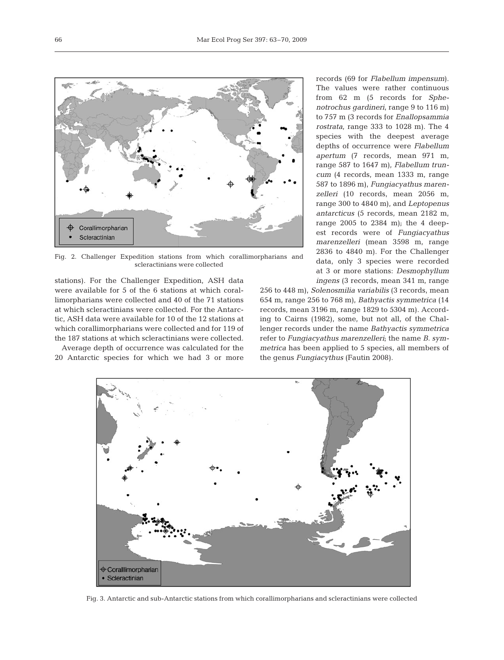

Fig. 2. Challenger Expedition stations from which corallimorpharians and scleractinians were collected

stations). For the Challenger Expedition, ASH data were available for 5 of the 6 stations at which corallimorpharians were collected and 40 of the 71 stations at which scleractinians were collected. For the Antarctic, ASH data were available for 10 of the 12 stations at which corallimorpharians were collected and for 119 of the 187 stations at which scleractinians were collected.

Average depth of occurrence was calculated for the 20 Antarctic species for which we had 3 or more

records (69 for *Flabellum impensum*). The values were rather continuous from 62 m (5 records for *Sphenotrochus gardineri*, range 9 to 116 m) to 757 m (3 records for *Enallopsammia rostrata*, range 333 to 1028 m). The 4 species with the deepest average depths of occurrence were *Flabellum apertum* (7 records, mean 971 m, range 587 to 1647 m), *Flabellum truncum* (4 records, mean 1333 m, range 587 to 1896 m), *Fungiacyathus marenzelleri* (10 records, mean 2056 m, range 300 to 4840 m), and *Leptopenus antarcticus* (5 records, mean 2182 m, range 2005 to 2384 m); the 4 deepest records were of *Fungiacyathus marenzelleri* (mean 3598 m, range 2836 to 4840 m). For the Challenger data, only 3 species were recorded at 3 or more stations: *Desmophyllum ingens* (3 records, mean 341 m, range

256 to 448 m), *Solenosmilia variabilis* (3 records, mean 654 m, range 256 to 768 m), *Bathyactis symmetrica* (14 records, mean 3196 m, range 1829 to 5304 m). According to Cairns (1982), some, but not all, of the Challenger records under the name *Bathyactis symmetrica* refer to *Fungiacyathus marenzelleri*; the name *B. symmetrica* has been applied to 5 species, all members of the genus *Fungiacythus* (Fautin 2008).



Fig. 3. Antarctic and sub-Antarctic stations from which corallimorpharians and scleractinians were collected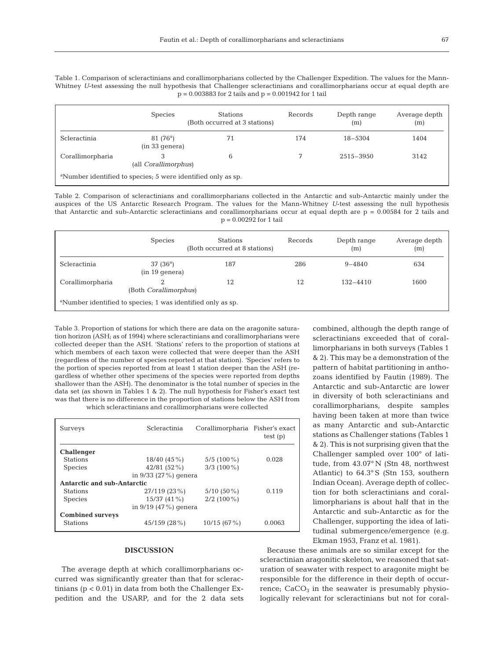Table 1. Comparison of scleractinians and corallimorpharians collected by the Challenger Expedition. The values for the Mann-Whitney *U*-test assessing the null hypothesis that Challenger scleractinians and corallimorpharians occur at equal depth are  $p = 0.003883$  for 2 tails and  $p = 0.001942$  for 1 tail

|                                                                          | <b>Species</b>                         | <b>Stations</b><br>(Both occurred at 3 stations) | Records | Depth range<br>(m) | Average depth<br>(m) |  |
|--------------------------------------------------------------------------|----------------------------------------|--------------------------------------------------|---------|--------------------|----------------------|--|
| Scleractinia                                                             | $81(76^a)$<br>$(in 33 \text{ genera})$ | 71                                               | 174     | $18 - 5304$        | 1404                 |  |
| Corallimorpharia                                                         | 3<br>(all <i>Corallimorphus</i> )      | 6                                                |         | $2515 - 3950$      | 3142                 |  |
| <sup>a</sup> Number identified to species; 5 were identified only as sp. |                                        |                                                  |         |                    |                      |  |

Table 2. Comparison of scleractinians and corallimorpharians collected in the Antarctic and sub-Antarctic mainly under the auspices of the US Antarctic Research Program. The values for the Mann-Whitney *U*-test assessing the null hypothesis that Antarctic and sub-Antarctic scleractinians and corallimorpharians occur at equal depth are  $p = 0.00584$  for 2 tails and p = 0.00292 for 1 tail

|                                                                         | <b>Species</b>                     | <b>Stations</b><br>(Both occurred at 8 stations) | Records | Depth range<br>(m) | Average depth<br>(m) |  |
|-------------------------------------------------------------------------|------------------------------------|--------------------------------------------------|---------|--------------------|----------------------|--|
| <b>Scleractinia</b>                                                     | $37(36^{\circ})$<br>(in 19 qenera) | 187                                              | 286     | $9 - 4840$         | 634                  |  |
| Corallimorpharia                                                        | റ<br>(Both Corallimorphus)         | 12                                               | 12      | $132 - 4410$       | 1600                 |  |
| <sup>a</sup> Number identified to species; 1 was identified only as sp. |                                    |                                                  |         |                    |                      |  |

Table 3. Proportion of stations for which there are data on the aragonite saturation horizon (ASH; as of 1994) where scleractinians and corallimorpharians were collected deeper than the ASH. 'Stations' refers to the proportion of stations at which members of each taxon were collected that were deeper than the ASH (regardless of the number of species reported at that station). 'Species' refers to the portion of species reported from at least 1 station deeper than the ASH (regardless of whether other specimens of the species were reported from depths shallower than the ASH). The denominator is the total number of species in the data set (as shown in Tables 1 & 2). The null hypothesis for Fisher's exact test was that there is no difference in the proportion of stations below the ASH from

which scleractinians and corallimorpharians were collected

| Surveys                            | Scleractinia           | Corallimorpharia Fisher's exact | test(p) |
|------------------------------------|------------------------|---------------------------------|---------|
| <b>Challenger</b>                  |                        |                                 |         |
| <b>Stations</b>                    | $18/40(45\%)$          | $5/5$ (100 %)                   | 0.028   |
| <b>Species</b>                     | 42/81 (52%)            | $3/3$ (100 %)                   |         |
|                                    | in $9/33$ (27%) genera |                                 |         |
| <b>Antarctic and sub-Antarctic</b> |                        |                                 |         |
| <b>Stations</b>                    | 27/119 (23%)           | $5/10(50\%)$                    | 0.119   |
| <b>Species</b>                     | $15/37(41\%)$          | $2/2$ (100 %)                   |         |
|                                    | in $9/19$ (47%) genera |                                 |         |
| <b>Combined surveys</b>            |                        |                                 |         |
| <b>Stations</b>                    | 45/159 (28%)           | 10/15(67%)                      | 0.0063  |

#### **DISCUSSION**

The average depth at which corallimorpharians occurred was significantly greater than that for scleractinians (p < 0.01) in data from both the Challenger Expedition and the USARP, and for the 2 data sets combined, although the depth range of scleractinians exceeded that of corallimorpharians in both surveys (Tables 1 & 2). This may be a demonstration of the pattern of habitat partitioning in anthozoans identified by Fautin (1989). The Antarctic and sub-Antarctic are lower in diversity of both scleractinians and corallimorpharians, despite samples having been taken at more than twice as many Antarctic and sub-Antarctic stations as Challenger stations (Tables 1 & 2). This is not surprising given that the Challenger sampled over 100° of latitude, from 43.07° N (Stn 48, northwest Atlantic) to 64.3° S (Stn 153, southern Indian Ocean). Average depth of collection for both scleractinians and corallimorpharians is about half that in the Antarctic and sub-Antarctic as for the Challenger, supporting the idea of latitudinal submergence/emergence (e.g. Ekman 1953, Franz et al. 1981).

Because these animals are so similar except for the scleractinian aragonitic skeleton, we reasoned that saturation of seawater with respect to aragonite might be responsible for the difference in their depth of occurrence;  $CaCO<sub>3</sub>$  in the seawater is presumably physiologically relevant for scleractinians but not for coral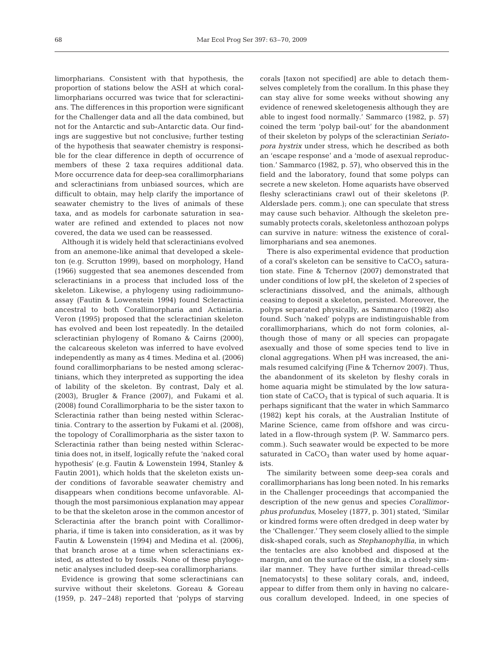limorpharians. Consistent with that hypothesis, the proportion of stations below the ASH at which corallimorpharians occurred was twice that for scleractinians. The differences in this proportion were significant for the Challenger data and all the data combined, but not for the Antarctic and sub-Antarctic data. Our findings are suggestive but not conclusive; further testing of the hypothesis that seawater chemistry is responsible for the clear difference in depth of occurrence of members of these 2 taxa requires additional data. More occurrence data for deep-sea corallimorpharians and scleractinians from unbiased sources, which are difficult to obtain, may help clarify the importance of seawater chemistry to the lives of animals of these taxa, and as models for carbonate saturation in seawater are refined and extended to places not now covered, the data we used can be reassessed.

Although it is widely held that scleractinians evolved from an anemone-like animal that developed a skeleton (e.g. Scrutton 1999), based on morphology, Hand (1966) suggested that sea anemones descended from scleractinians in a process that included loss of the skeleton. Likewise, a phylogeny using radioimmunoassay (Fautin & Lowenstein 1994) found Scleractinia ancestral to both Corallimorpharia and Actiniaria. Veron (1995) proposed that the scleractinian skeleton has evolved and been lost repeatedly. In the detailed scleractinian phylogeny of Romano & Cairns (2000), the calcareous skeleton was inferred to have evolved independently as many as 4 times. Medina et al. (2006) found corallimorpharians to be nested among scleractinians, which they interpreted as supporting the idea of lability of the skeleton. By contrast, Daly et al. (2003), Brugler & France (2007), and Fukami et al. (2008) found Corallimorpharia to be the sister taxon to Scleractinia rather than being nested within Scleractinia. Contrary to the assertion by Fukami et al. (2008), the topology of Corallimorpharia as the sister taxon to Scleractinia rather than being nested within Scleractinia does not, in itself, logically refute the 'naked coral hypothesis' (e.g. Fautin & Lowenstein 1994, Stanley & Fautin 2001), which holds that the skeleton exists under conditions of favorable seawater chemistry and disappears when conditions become unfavorable. Although the most parsimonious explanation may appear to be that the skeleton arose in the common ancestor of Scleractinia after the branch point with Corallimorpharia, if time is taken into consideration, as it was by Fautin & Lowenstein (1994) and Medina et al. (2006), that branch arose at a time when scleractinians existed, as attested to by fossils. None of these phylogenetic analyses included deep-sea corallimorpharians.

Evidence is growing that some scleractinians can survive without their skeletons. Goreau & Goreau (1959, p. 247–248) reported that 'polyps of starving corals [taxon not specified] are able to detach themselves completely from the corallum. In this phase they can stay alive for some weeks without showing any evidence of renewed skeletogenesis although they are able to ingest food normally.' Sammarco (1982, p. 57) coined the term 'polyp bail-out' for the abandonment of their skeleton by polyps of the scleractinian *Seriatopora hystrix* under stress, which he described as both an 'escape response' and a 'mode of asexual reproduction.' Sammarco (1982, p. 57), who observed this in the field and the laboratory, found that some polyps can secrete a new skeleton. Home aquarists have observed fleshy scleractinians crawl out of their skeletons (P. Alderslade pers. comm.); one can speculate that stress may cause such behavior. Although the skeleton presumably protects corals, skeletonless anthozoan polyps can survive in nature: witness the existence of corallimorpharians and sea anemones.

There is also experimental evidence that production of a coral's skeleton can be sensitive to  $CaCO<sub>3</sub>$  saturation state. Fine & Tchernov (2007) demonstrated that under conditions of low pH, the skeleton of 2 species of scleractinians dissolved, and the animals, although ceasing to deposit a skeleton, persisted. Moreover, the polyps separated physically, as Sammarco (1982) also found. Such 'naked' polyps are indistinguishable from corallimorpharians, which do not form colonies, although those of many or all species can propagate asexually and those of some species tend to live in clonal aggregations. When pH was increased, the animals resumed calcifying (Fine & Tchernov 2007). Thus, the abandonment of its skeleton by fleshy corals in home aquaria might be stimulated by the low saturation state of  $CaCO<sub>3</sub>$  that is typical of such aquaria. It is perhaps significant that the water in which Sammarco (1982) kept his corals, at the Australian Institute of Marine Science, came from offshore and was circulated in a flow-through system (P. W. Sammarco pers. comm.). Such seawater would be expected to be more saturated in  $CaCO<sub>3</sub>$  than water used by home aquarists.

The similarity between some deep-sea corals and corallimorpharians has long been noted. In his remarks in the Challenger proceedings that accompanied the description of the new genus and species *Corallimorphus profundus*, Moseley (1877, p. 301) stated, 'Similar or kindred forms were often dredged in deep water by the 'Challenger.' They seem closely allied to the simple disk-shaped corals, such as *Stephanophyllia*, in which the tentacles are also knobbed and disposed at the margin, and on the surface of the disk, in a closely similar manner. They have further similar thread-cells [nematocysts] to these solitary corals, and, indeed, appear to differ from them only in having no calcareous corallum developed. Indeed, in one species of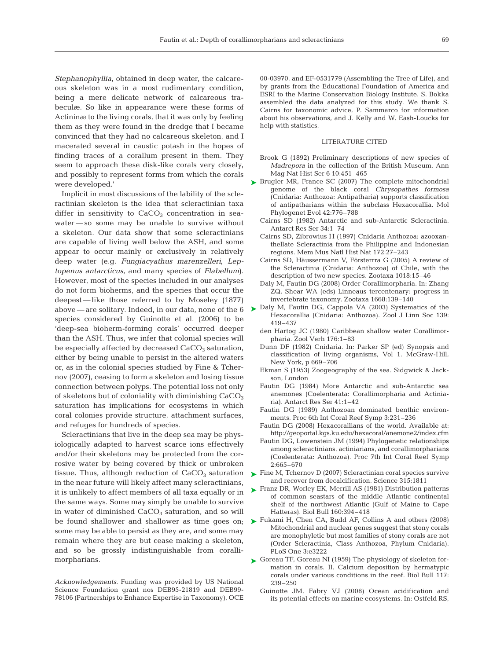*Stephanophyllia*, obtained in deep water, the calcareous skeleton was in a most rudimentary condition, being a mere delicate network of calcareous trabeculæ. So like in appearance were these forms of Actininæ to the living corals, that it was only by feeling them as they were found in the dredge that I became convinced that they had no calcareous skeleton, and I macerated several in caustic potash in the hopes of finding traces of a corallum present in them. They seem to approach these disk-like corals very closely, and possibly to represent forms from which the corals were developed.'

Implicit in most discussions of the lability of the scleractinian skeleton is the idea that scleractinian taxa differ in sensitivity to  $CaCO<sub>3</sub>$  concentration in seawater — so some may be unable to survive without a skeleton. Our data show that some scleractinians are capable of living well below the ASH, and some appear to occur mainly or exclusively in relatively deep water (e.g. *Fungiacyathus marenzelleri*, *Leptopenus antarcticus*, and many species of *Flabellum*). However, most of the species included in our analyses do not form bioherms, and the species that occur the deepest — like those referred to by Moseley (1877) species considered by Guinotte et al. (2006) to be 'deep-sea bioherm-forming corals' occurred deeper than the ASH. Thus, we infer that colonial species will be especially affected by decreased  $CaCO<sub>3</sub>$  saturation, either by being unable to persist in the altered waters or, as in the colonial species studied by Fine & Tchernov (2007), ceasing to form a skeleton and losing tissue connection between polyps. The potential loss not only of skeletons but of coloniality with diminishing  $CaCO<sub>3</sub>$ saturation has implications for ecosystems in which coral colonies provide structure, attachment surfaces, and refuges for hundreds of species.

Scleractinians that live in the deep sea may be physiologically adapted to harvest scarce ions effectively and/or their skeletons may be protected from the corrosive water by being covered by thick or unbroken tissue. Thus, although reduction of  $CaCO<sub>3</sub>$  saturation in the near future will likely affect many scleractinians, it is unlikely to affect members of all taxa equally or in the same ways. Some may simply be unable to survive in water of diminished  $CaCO<sub>3</sub>$  saturation, and so will be found shallower and shallower as time goes on; some may be able to persist as they are, and some may remain where they are but cease making a skeleton, and so be grossly indistinguishable from corallimorpharians.

*Acknowledgements.* Funding was provided by US National Science Foundation grant nos DEB95-21819 and DEB99- 78106 (Partnerships to Enhance Expertise in Taxonomy), OCE 00-03970, and EF-0531779 (Assembling the Tree of Life), and by grants from the Educational Foundation of America and ESRI to the Marine Conservation Biology Institute. S. Bokka assembled the data analyzed for this study. We thank S. Cairns for taxonomic advice, P. Sammarco for information about his observations, and J. Kelly and W. Eash-Loucks for help with statistics.

#### LITERATURE CITED

- Brook G (1892) Preliminary descriptions of new species of *Madrepora* in the collection of the British Museum. Ann Mag Nat Hist Ser 6 10:451–465
- ► Brugler MR, France SC (2007) The complete mitochondrial genome of the black coral *Chrysopathes formosa* (Cnidaria: Anthozoa: Antipatharia) supports classification of antipatharians within the subclass Hexacorallia. Mol Phylogenet Evol 42:776–788
	- Cairns SD (1982) Antarctic and sub-Antarctic Scleractinia. Antarct Res Ser 34:1–74
	- Cairns SD, Zibrowius H (1997) Cnidaria Anthozoa: azooxanthellate Scleractinia from the Philippine and Indonesian regions. Mem Mus Natl Hist Nat 172:27–243
	- Cairns SD, Häussermann V, Försterrra G (2005) A review of the Scleractinia (Cnidaria: Anthozoa) of Chile, with the description of two new species. Zootaxa 1018:15–46
	- Daly M, Fautin DG (2008) Order Corallimorpharia. In: Zhang ZQ, Shear WA (eds) Linneaus tercentenary: progress in invertebrate taxonomy. Zootaxa 1668:139–140
- above are solitary. Indeed, in our data, none of the  $6 \rightarrow$  Daly M, Fautin DG, Cappola VA (2003) Systematics of the Hexacorallia (Cnidaria: Anthozoa). Zool J Linn Soc 139: 419–437
	- den Hartog JC (1980) Caribbean shallow water Corallimorpharia. Zool Verh 176:1–83
	- Dunn DF (1982) Cnidaria. In: Parker SP (ed) Synopsis and classification of living organisms, Vol 1. McGraw-Hill, New York, p 669–706
	- Ekman S (1953) Zoogeography of the sea. Sidgwick & Jackson, London
	- Fautin DG (1984) More Antarctic and sub-Antarctic sea anemones (Coelenterata: Corallimorpharia and Actiniaria). Antarct Res Ser 41:1–42
	- Fautin DG (1989) Anthozoan dominated benthic environments. Proc 6th Int Coral Reef Symp 3:231–236
	- Fautin DG (2008) Hexacorallians of the world. Available at: http://geoportal.kgs.ku.edu/hexacoral/anemone2/index.cfm
	- Fautin DG, Lowenstein JM (1994) Phylogenetic relationships among scleractinians, actiniarians, and corallimorpharians (Coelenterata: Anthozoa). Proc 7th Int Coral Reef Symp 2:665–670
	- ► Fine M, Tchernov D (2007) Scleractinian coral species survive and recover from decalcification. Science 315:1811
	- ► Franz DR, Worley EK, Merrill AS (1981) Distribution patterns of common seastars of the middle Atlantic continental shelf of the northwest Atlantic (Gulf of Maine to Cape Hatteras). Biol Bull 160:394–418
	- ► Fukami H, Chen CA, Budd AF, Collins A and others (2008) Mitochondrial and nuclear genes suggest that stony corals are monophyletic but most families of stony corals are not (Order Scleractinia, Class Anthozoa, Phylum Cnidaria). PLoS One 3:e3222
	- ► Goreau TF, Goreau NI (1959) The physiology of skeleton formation in corals. II. Calcium deposition by hermatypic corals under various conditions in the reef. Biol Bull 117: 239–250
		- Guinotte JM, Fabry VJ (2008) Ocean acidification and its potential effects on marine ecosystems. In: Ostfeld RS,